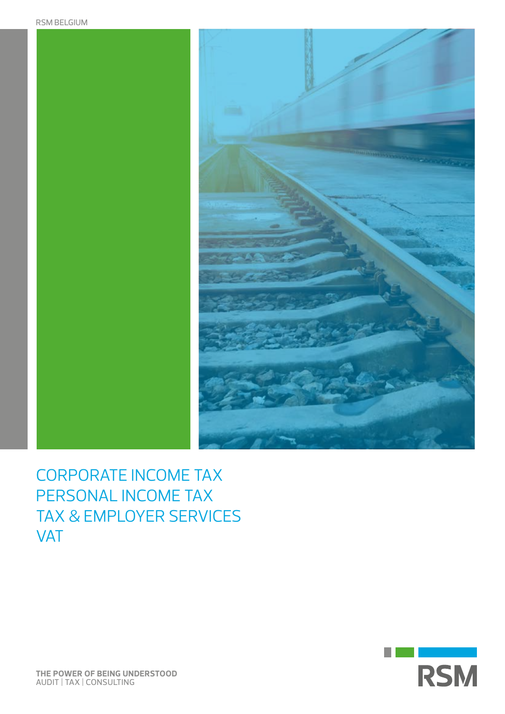

Corporate Income Tax Personal Income Tax Tax & Employer Services VAT

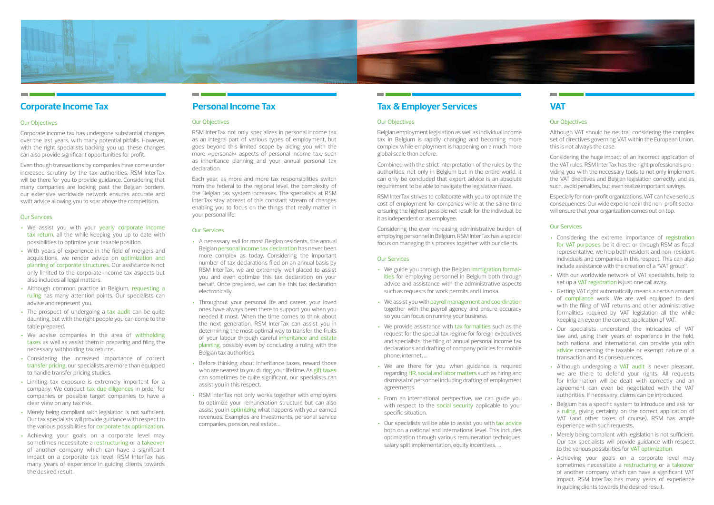# **VAT**

# Our Objectives

Although VAT should be neutral, considering the complex set of directives governing VAT within the European Union, this is not always the case.

Considering the huge impact of an incorrect application of the VAT rules, RSM InterTax has the right professionals providing you with the necessary tools to not only implement the VAT directives and Belgian legislation correctly, and as such, avoid penalties, but even realize important savings.

Especially for non-profit organizations, VAT can have serious consequences. Our wide experience in the non-profit sector will ensure that your organization comes out on top.

# Our Services

- Considering the extreme importance of registration for VAT purposes, be it direct or through RSM as fiscal representative, we help both resident and non-resident individuals and companies in this respect. This can also include assistance with the creation of a "VAT group".
- With our worldwide network of VAT specialists, help to set up a VAT registration is just one call away.
- Getting VAT right automatically means a certain amount of compliance work. We are well equipped to deal with the filing of VAT returns and other administrative formalities required by VAT legislation all the while keeping an eye on the correct application of VAT.
- Our specialists understand the intricacies of VAT law and, using their years of experience in the field, both national and international, can provide you with advice concerning the taxable or exempt nature of a transaction and its consequences.
- Although undergoing a VAT audit is never pleasant, we are there to defend your rights. All requests for information will be dealt with correctly and an agreement can even be negotiated with the VAT authorities. If necessary, claims can be introduced.
- Belgium has a specific system to introduce and ask for a ruling, giving certainty on the correct application of VAT (and other taxes of course). RSM has ample experience with such requests.
- Merely being compliant with legislation is not sufficient. Our tax specialists will provide guidance with respect to the various possibilities for VAT optimization.
- Achieving your goals on a corporate level may sometimes necessitate a restructuring or a takeover of another company which can have a significant VAT impact. RSM InterTax has many years of experience in guiding clients towards the desired result.

# Our Objectives

Belgian employment legislation as well as individual income tax in Belgium is rapidly changing and becoming more complex while employment is happening on a much more global scale than before.

Combined with the strict interpretation of the rules by the authorities, not only in Belgium but in the entire world, it can only be concluded that expert advice is an absolute requirement to be able to navigate the legislative maze.

RSM InterTax strives to collaborate with you to optimize the cost of employment for companies while at the same time ensuring the highest possible net result for the individual, be it as independent or as employee.

Considering the ever increasing administrative burden of employing personnel in Belgium, RSM InterTax has a special focus on managing this process together with our clients.

# Our Services

- We guide you through the Belgian immigration formalities for employing personnel in Belgium both through advice and assistance with the administrative aspects such as requests for work permits and Limosa.
- We assist you with payroll management and coordination together with the payroll agency and ensure accuracy so you can focus on running your business.
- We provide assistance with tax formalities such as the request for the special tax regime for foreign executives and specialists, the filing of annual personal income tax declarations and drafting of company policies for mobile phone, internet, …
- We are there for you when guidance is required regarding HR, social and labor matters such as hiring and dismissal of personnel including drafting of employment agreements.
- From an international perspective, we can guide you with respect to the social security applicable to your specific situation.
- Our specialists will be able to assist you with tax advice both on a national and international level. This includes optimization through various remuneration techniques, salary split implementation, equity incentives, …

### Our Objectives

RSM InterTax not only specializes in personal income tax as an integral part of various types of employment, but goes beyond this limited scope by aiding you with the more «personal» aspects of personal income tax, such as inheritance planning and your annual personal tax declaration.

Each year, as more and more tax responsibilities switch from the federal to the regional level, the complexity of the Belgian tax system increases. The specialists at RSM InterTax stay abreast of this constant stream of changes enabling you to focus on the things that really matter in your personal life.

# Our Services

- A necessary evil for most Belgian residents, the annual Belgian personal income tax declaration has never been more complex as today. Considering the important number of tax declarations filed on an annual basis by RSM InterTax, we are extremely well placed to assist you and even optimize this tax declaration on your behalf. Once prepared, we can file this tax declaration electronically.
- Throughout your personal life and career, your loved ones have always been there to support you when you needed it most. When the time comes to think about the next generation, RSM InterTax can assist you in determining the most optimal way to transfer the fruits of your labour through careful inheritance and estate planning, possibly even by concluding a ruling with the Belgian tax authorities.
- Before thinking about inheritance taxes, reward those who are nearest to you during your lifetime. As gift taxes can sometimes be quite significant, our specialists can assist you in this respect.
- RSM InterTax not only works together with employers to optimize your remuneration structure but can also assist you in optimizing what happens with your earned revenues. Examples are investments, personal service companies, pension, real estate…

# **Personal Income Tax Tax & Employer Services**



# **Corporate Income Tax**

# Our Objectives

Corporate income tax has undergone substantial changes over the last years, with many potential pitfalls. However, with the right specialists backing you up, these changes can also provide significant opportunities for profit.

Even though transactions by companies have come under increased scrutiny by the tax authorities, RSM InterTax will be there for you to provide guidance. Considering that many companies are looking past the Belgian borders, our extensive worldwide network ensures accurate and swift advice allowing you to soar above the competition.

### Our Services

- We assist you with your yearly corporate income tax return, all the while keeping you up to date with possibilities to optimize your taxable position.
- With years of experience in the field of mergers and acquisitions, we render advice on optimization and planning of corporate structures. Our assistance is not only limited to the corporate income tax aspects but also includes all legal matters.
- Although common practice in Belgium, requesting a ruling has many attention points. Our specialists can advise and represent you.
- The prospect of undergoing a tax audit can be quite daunting, but with the right people you can come to the table prepared.
- We advise companies in the area of withholding taxes as well as assist them in preparing and filing the necessary withholding tax returns.
- Considering the increased importance of correct transfer pricing, our specialists are more than equipped to handle transfer pricing studies.
- Limiting tax exposure is extremely important for a company. We conduct tax due diligences in order for companies or possible target companies to have a clear view on any tax risk.
- Merely being compliant with legislation is not sufficient. Our tax specialists will provide guidance with respect to the various possibilities for corporate tax optimization.
- Achieving your goals on a corporate level may sometimes necessitate a restructuring or a takeover of another company which can have a significant impact on a corporate tax level. RSM InterTax has many years of experience in guiding clients towards the desired result.